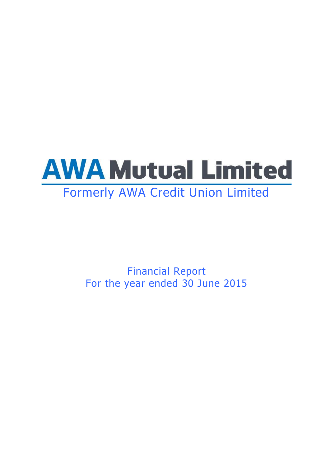

Financial Report For the year ended 30 June 2015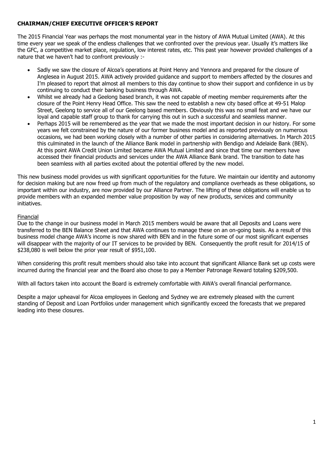## **CHAIRMAN/CHIEF EXECUTIVE OFFICER'S REPORT**

The 2015 Financial Year was perhaps the most monumental year in the history of AWA Mutual Limited (AWA). At this time every year we speak of the endless challenges that we confronted over the previous year. Usually it's matters like the GFC, a competitive market place, regulation, low interest rates, etc. This past year however provided challenges of a nature that we haven't had to confront previously :-

- Sadly we saw the closure of Alcoa's operations at Point Henry and Yennora and prepared for the closure of Anglesea in August 2015. AWA actively provided guidance and support to members affected by the closures and I'm pleased to report that almost all members to this day continue to show their support and confidence in us by continuing to conduct their banking business through AWA.
- Whilst we already had a Geelong based branch, it was not capable of meeting member requirements after the closure of the Point Henry Head Office. This saw the need to establish a new city based office at 49-51 Malop Street, Geelong to service all of our Geelong based members. Obviously this was no small feat and we have our loyal and capable staff group to thank for carrying this out in such a successful and seamless manner.
- Perhaps 2015 will be remembered as the year that we made the most important decision in our history. For some years we felt constrained by the nature of our former business model and as reported previously on numerous occasions, we had been working closely with a number of other parties in considering alternatives. In March 2015 this culminated in the launch of the Alliance Bank model in partnership with Bendigo and Adelaide Bank (BEN). At this point AWA Credit Union Limited became AWA Mutual Limited and since that time our members have accessed their financial products and services under the AWA Alliance Bank brand. The transition to date has been seamless with all parties excited about the potential offered by the new model.

This new business model provides us with significant opportunities for the future. We maintain our identity and autonomy for decision making but are now freed up from much of the regulatory and compliance overheads as these obligations, so important within our industry, are now provided by our Alliance Partner. The lifting of these obligations will enable us to provide members with an expanded member value proposition by way of new products, services and community initiatives.

## Financial

Due to the change in our business model in March 2015 members would be aware that all Deposits and Loans were transferred to the BEN Balance Sheet and that AWA continues to manage these on an on-going basis. As a result of this business model change AWA's income is now shared with BEN and in the future some of our most significant expenses will disappear with the majority of our IT services to be provided by BEN. Consequently the profit result for 2014/15 of \$238,080 is well below the prior year result of \$951,100.

When considering this profit result members should also take into account that significant Alliance Bank set up costs were incurred during the financial year and the Board also chose to pay a Member Patronage Reward totaling \$209,500.

With all factors taken into account the Board is extremely comfortable with AWA's overall financial performance.

Despite a major upheaval for Alcoa employees in Geelong and Sydney we are extremely pleased with the current standing of Deposit and Loan Portfolios under management which significantly exceed the forecasts that we prepared leading into these closures.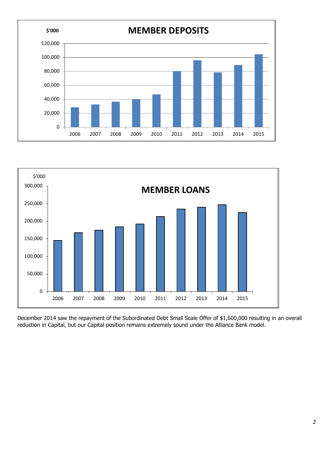



December 2014 saw the repayment of the Subordinated Debt Small Scale Offer of \$1,600,000 resulting in an overall reduction in Capital, but our Capital position remains extremely sound under the Alliance Bank model.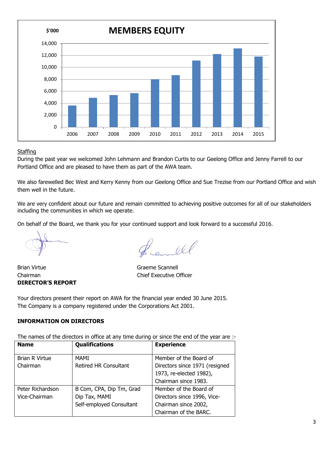

## **Staffing**

During the past year we welcomed John Lehmann and Brandon Curtis to our Geelong Office and Jenny Farrell to our Portland Office and are pleased to have them as part of the AWA team.

We also farewelled Bec West and Kerry Kenny from our Geelong Office and Sue Trezise from our Portland Office and wish them well in the future.

We are very confident about our future and remain committed to achieving positive outcomes for all of our stakeholders including the communities in which we operate.

On behalf of the Board, we thank you for your continued support and look forward to a successful 2016.

Brian Virtue Graeme Scannell Chairman Chief Executive Officer **DIRECTOR'S REPORT**

 $U(x)$ 

Your directors present their report on AWA for the financial year ended 30 June 2015. The Company is a company registered under the Corporations Act 2001.

## **INFORMATION ON DIRECTORS**

The names of the directors in office at any time during or since the end of the year are :-

| <b>Name</b>           | <b>Qualifications</b>        | <b>Experience</b>              |
|-----------------------|------------------------------|--------------------------------|
| <b>Brian R Virtue</b> | MAMI                         | Member of the Board of         |
| Chairman              | <b>Retired HR Consultant</b> | Directors since 1971 (resigned |
|                       |                              | 1973, re-elected 1982),        |
|                       |                              | Chairman since 1983.           |
| Peter Richardson      | B Com, CPA, Dip Tm, Grad     | Member of the Board of         |
| Vice-Chairman         | Dip Tax, MAMI                | Directors since 1996, Vice-    |
|                       | Self-employed Consultant     | Chairman since 2002,           |
|                       |                              | Chairman of the BARC.          |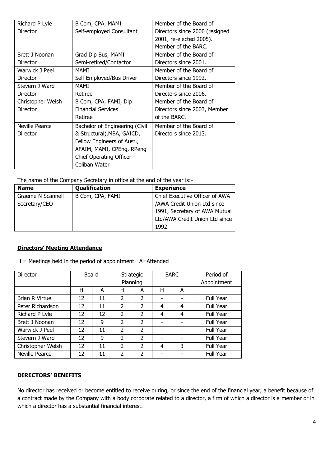| Richard P Lyle        | B Com, CPA, MAMI               | Member of the Board of                                                   |  |
|-----------------------|--------------------------------|--------------------------------------------------------------------------|--|
| <b>Director</b>       | Self-employed Consultant       | Directors since 2000 (resigned                                           |  |
|                       |                                | 2001, re-elected 2005).                                                  |  |
|                       |                                | Member of the BARC.                                                      |  |
| Brett J Noonan        | Grad Dip Bus, MAMI             | Member of the Board of                                                   |  |
| Director              | Semi-retired/Contactor         | Directors since 2001.                                                    |  |
| Warwick J Peel        | MAMI                           | Member of the Board of                                                   |  |
| Director              | Self Employed/Bus Driver       | Directors since 1992.<br>Member of the Board of<br>Directors since 2006. |  |
| Stevern J Ward        | <b>MAMI</b>                    |                                                                          |  |
| Director              | Retiree                        |                                                                          |  |
| Christopher Welsh     | B Com, CPA, FAMI, Dip          | Member of the Board of                                                   |  |
| Director              | <b>Financial Services</b>      | Directors since 2003, Member                                             |  |
|                       | Retiree                        | of the BARC.                                                             |  |
| <b>Neville Pearce</b> | Bachelor of Engineering (Civil | Member of the Board of                                                   |  |
| Director              | & Structural), MBA, GAICD,     | Directors since 2013.                                                    |  |
|                       | Fellow Engineers of Aust.,     |                                                                          |  |
|                       | AFAIM, MAMI, CPEng, RPeng      |                                                                          |  |
|                       | Chief Operating Officer -      |                                                                          |  |
|                       | Coliban Water                  |                                                                          |  |

The name of the Company Secretary in office at the end of the year is:-

| <b>Name</b>              | Qualification    | <b>Experience</b>              |
|--------------------------|------------------|--------------------------------|
| <b>Graeme N Scannell</b> | B Com, CPA, FAMI | Chief Executive Officer of AWA |
| Secretary/CEO            |                  | /AWA Credit Union Ltd since    |
|                          |                  | 1991, Secretary of AWA Mutual  |
|                          |                  | Ltd/AWA Credit Union Ltd since |
|                          |                  | 1992.                          |

## **Directors' Meeting Attendance**

| Director              | Board<br>Strategic |    | <b>BARC</b>              |                          | Period of |             |                  |
|-----------------------|--------------------|----|--------------------------|--------------------------|-----------|-------------|------------------|
|                       |                    |    |                          | Planning                 |           | Appointment |                  |
|                       | н                  | A  | н                        | A                        | н         | A           |                  |
| <b>Brian R Virtue</b> | 12                 | 11 | $\overline{2}$           | $\overline{\phantom{a}}$ |           |             | Full Year        |
| Peter Richardson      | 12                 | 11 | $\overline{\phantom{a}}$ | $\overline{\phantom{a}}$ | 4         | 4           | <b>Full Year</b> |
| Richard P Lyle        | 12                 | 12 | $\overline{2}$           | $\overline{\phantom{a}}$ | 4         | 4           | Full Year        |
| Brett J Noonan        | 12                 | 9  | $\overline{2}$           | $\overline{\phantom{a}}$ |           |             | Full Year        |
| Warwick J Peel        | 12                 | 11 | $\overline{2}$           | $\overline{\phantom{a}}$ |           |             | Full Year        |
| Stevern J Ward        | 12                 | 9  | $\mathcal{P}$            | $\overline{\phantom{a}}$ |           |             | Full Year        |
| Christopher Welsh     | 12                 | 11 | $\overline{2}$           | $\overline{\phantom{a}}$ | 4         | 3           | Full Year        |
| Neville Pearce        | 12                 | 11 | $\overline{2}$           | $\overline{\phantom{a}}$ |           |             | <b>Full Year</b> |

 $H =$  Meetings held in the period of appointment  $A=$ Attended

## **DIRECTORS' BENEFITS**

No director has received or become entitled to receive during, or since the end of the financial year, a benefit because of a contract made by the Company with a body corporate related to a director, a firm of which a director is a member or in which a director has a substantial financial interest.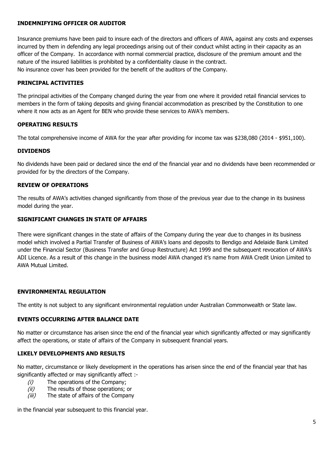## **INDEMNIFYING OFFICER OR AUDITOR**

Insurance premiums have been paid to insure each of the directors and officers of AWA, against any costs and expenses incurred by them in defending any legal proceedings arising out of their conduct whilst acting in their capacity as an officer of the Company. In accordance with normal commercial practice, disclosure of the premium amount and the nature of the insured liabilities is prohibited by a confidentiality clause in the contract. No insurance cover has been provided for the benefit of the auditors of the Company.

## **PRINCIPAL ACTIVITIES**

The principal activities of the Company changed during the year from one where it provided retail financial services to members in the form of taking deposits and giving financial accommodation as prescribed by the Constitution to one where it now acts as an Agent for BEN who provide these services to AWA's members.

## **OPERATING RESULTS**

The total comprehensive income of AWA for the year after providing for income tax was \$238,080 (2014 - \$951,100).

## **DIVIDENDS**

No dividends have been paid or declared since the end of the financial year and no dividends have been recommended or provided for by the directors of the Company.

## **REVIEW OF OPERATIONS**

The results of AWA's activities changed significantly from those of the previous year due to the change in its business model during the year.

## **SIGNIFICANT CHANGES IN STATE OF AFFAIRS**

There were significant changes in the state of affairs of the Company during the year due to changes in its business model which involved a Partial Transfer of Business of AWA's loans and deposits to Bendigo and Adelaide Bank Limited under the Financial Sector (Business Transfer and Group Restructure) Act 1999 and the subsequent revocation of AWA's ADI Licence. As a result of this change in the business model AWA changed it's name from AWA Credit Union Limited to AWA Mutual Limited.

## **ENVIRONMENTAL REGULATION**

The entity is not subject to any significant environmental regulation under Australian Commonwealth or State law.

## **EVENTS OCCURRING AFTER BALANCE DATE**

No matter or circumstance has arisen since the end of the financial year which significantly affected or may significantly affect the operations, or state of affairs of the Company in subsequent financial years.

## **LIKELY DEVELOPMENTS AND RESULTS**

No matter, circumstance or likely development in the operations has arisen since the end of the financial year that has significantly affected or may significantly affect :-

- (i) The operations of the Company;
- (ii) The results of those operations; or
- (iii) The state of affairs of the Company

in the financial year subsequent to this financial year.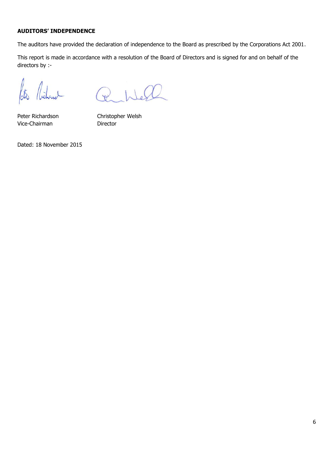## **AUDITORS' INDEPENDENCE**

The auditors have provided the declaration of independence to the Board as prescribed by the Corporations Act 2001.

This report is made in accordance with a resolution of the Board of Directors and is signed for and on behalf of the directors by :-

 $\overline{\mathcal{L}}$ 

Peter Richardson Christopher Welsh Vice-Chairman Director

Dated: 18 November 2015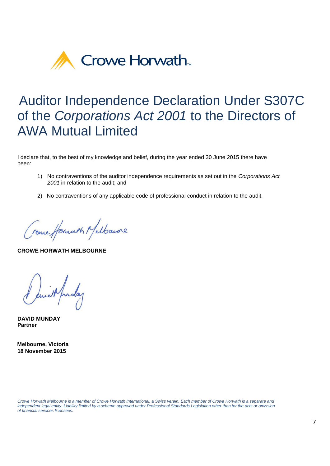

# Auditor Independence Declaration Under S307C of the *Corporations Act 2001* to the Directors of AWA Mutual Limited

I declare that, to the best of my knowledge and belief, during the year ended 30 June 2015 there have been:

- 1) No contraventions of the auditor independence requirements as set out in the *Corporations Act 2001* in relation to the audit; and
- 2) No contraventions of any applicable code of professional conduct in relation to the audit.

Creme Horwarth Melbourne

**CROWE HORWATH MELBOURNE** 

and prolag

**DAVID MUNDAY Partner** 

 **Melbourne, Victoria 18 November 2015**

*Crowe Horwath Melbourne is a member of Crowe Horwath International, a Swiss verein. Each member of Crowe Horwath is a separate and independent legal entity. Liability limited by a scheme approved under Professional Standards Legislation other than for the acts or omission of financial services licensees.*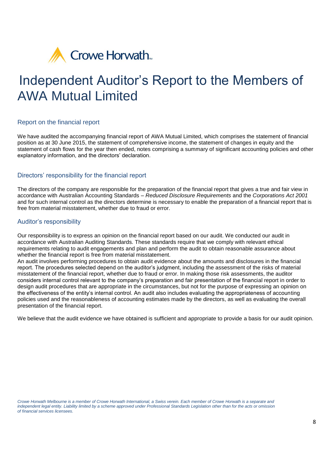

# Independent Auditor's Report to the Members of AWA Mutual Limited

## Report on the financial report

We have audited the accompanying financial report of AWA Mutual Limited, which comprises the statement of financial position as at 30 June 2015, the statement of comprehensive income, the statement of changes in equity and the statement of cash flows for the year then ended, notes comprising a summary of significant accounting policies and other explanatory information, and the directors' declaration.

## Directors' responsibility for the financial report

The directors of the company are responsible for the preparation of the financial report that gives a true and fair view in accordance with Australian Accounting Standards – *Reduced Disclosure Requirements* and the *Corporations Act 2001*  and for such internal control as the directors determine is necessary to enable the preparation of a financial report that is free from material misstatement, whether due to fraud or error.

## Auditor's responsibility

Our responsibility is to express an opinion on the financial report based on our audit. We conducted our audit in accordance with Australian Auditing Standards. These standards require that we comply with relevant ethical requirements relating to audit engagements and plan and perform the audit to obtain reasonable assurance about whether the financial report is free from material misstatement.

An audit involves performing procedures to obtain audit evidence about the amounts and disclosures in the financial report. The procedures selected depend on the auditor's judgment, including the assessment of the risks of material misstatement of the financial report, whether due to fraud or error. In making those risk assessments, the auditor considers internal control relevant to the company's preparation and fair presentation of the financial report in order to design audit procedures that are appropriate in the circumstances, but not for the purpose of expressing an opinion on the effectiveness of the entity's internal control. An audit also includes evaluating the appropriateness of accounting policies used and the reasonableness of accounting estimates made by the directors, as well as evaluating the overall presentation of the financial report.

We believe that the audit evidence we have obtained is sufficient and appropriate to provide a basis for our audit opinion.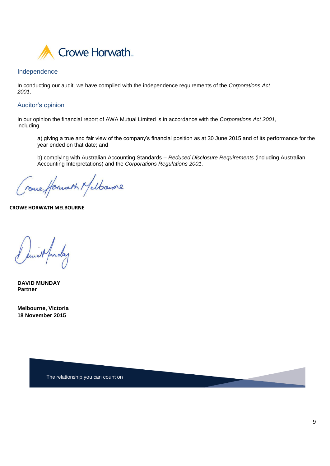

## Independence

In conducting our audit, we have complied with the independence requirements of the *Corporations Act 2001*.

### Auditor's opinion

In our opinion the financial report of AWA Mutual Limited is in accordance with the *Corporations Act 2001*, including

a) giving a true and fair view of the company's financial position as at 30 June 2015 and of its performance for the year ended on that date; and

b) complying with Australian Accounting Standards – *Reduced Disclosure Requirements* (including Australian Accounting Interpretations) and the *Corporations Regulations 2001*.

reme forwart Melbourne

**CROWE HORWATH MELBOURNE**

and prolag

**DAVID MUNDAY Partner** 

**Melbourne, Victoria 18 November 2015**

The relationship you can count on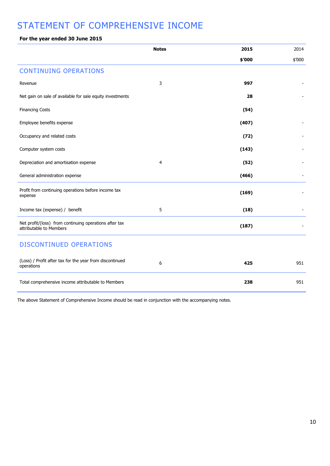## STATEMENT OF COMPREHENSIVE INCOME

### **For the year ended 30 June 2015**

|                                                                                   | <b>Notes</b> | 2015   | 2014   |
|-----------------------------------------------------------------------------------|--------------|--------|--------|
|                                                                                   |              | \$'000 | \$′000 |
| <b>CONTINUING OPERATIONS</b>                                                      |              |        |        |
| Revenue                                                                           | 3            | 997    |        |
| Net gain on sale of available for sale equity investments                         |              | 28     |        |
| <b>Financing Costs</b>                                                            |              | (54)   |        |
| Employee benefits expense                                                         |              | (407)  |        |
| Occupancy and related costs                                                       |              | (72)   |        |
| Computer system costs                                                             |              | (143)  |        |
| Depreciation and amortisation expense                                             | 4            | (52)   |        |
| General administration expense                                                    |              | (466)  |        |
| Profit from continuing operations before income tax<br>expense                    |              | (169)  |        |
| Income tax (expense) / benefit                                                    | 5            | (18)   |        |
| Net profit/(loss) from continuing operations after tax<br>attributable to Members |              | (187)  |        |
| <b>DISCONTINUED OPERATIONS</b>                                                    |              |        |        |
| (Loss) / Profit after tax for the year from discontinued<br>operations            | 6            | 425    | 951    |
| Total comprehensive income attributable to Members                                |              | 238    | 951    |

The above Statement of Comprehensive Income should be read in conjunction with the accompanying notes.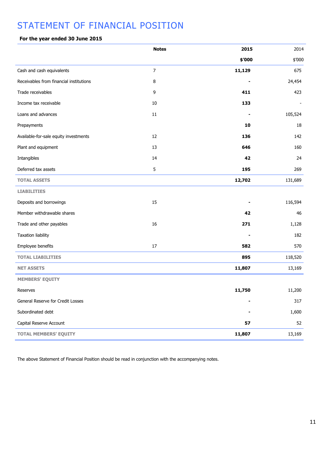## STATEMENT OF FINANCIAL POSITION

### **For the year ended 30 June 2015**

|                                         | <b>Notes</b>   | 2015   | 2014    |
|-----------------------------------------|----------------|--------|---------|
|                                         |                | \$'000 | \$'000  |
| Cash and cash equivalents               | $\overline{7}$ | 11,129 | 675     |
| Receivables from financial institutions | 8              |        | 24,454  |
| Trade receivables                       | 9              | 411    | 423     |
| Income tax receivable                   | 10             | 133    |         |
| Loans and advances                      | 11             |        | 105,524 |
| Prepayments                             |                | 10     | 18      |
| Available-for-sale equity investments   | 12             | 136    | 142     |
| Plant and equipment                     | 13             | 646    | 160     |
| Intangibles                             | 14             | 42     | 24      |
| Deferred tax assets                     | 5              | 195    | 269     |
| <b>TOTAL ASSETS</b>                     |                | 12,702 | 131,689 |
| <b>LIABILITIES</b>                      |                |        |         |
| Deposits and borrowings                 | 15             |        | 116,594 |
| Member withdrawable shares              |                | 42     | 46      |
| Trade and other payables                | 16             | 271    | 1,128   |
| <b>Taxation liability</b>               |                |        | 182     |
| Employee benefits                       | 17             | 582    | 570     |
| <b>TOTAL LIABILITIES</b>                |                | 895    | 118,520 |
| <b>NET ASSETS</b>                       |                | 11,807 | 13,169  |
| <b>MEMBERS' EQUITY</b>                  |                |        |         |
| Reserves                                |                | 11,750 | 11,200  |
| General Reserve for Credit Losses       |                |        | 317     |
| Subordinated debt                       |                |        | 1,600   |
| Capital Reserve Account                 |                | 57     | 52      |
| <b>TOTAL MEMBERS' EQUITY</b>            |                | 11,807 | 13,169  |

The above Statement of Financial Position should be read in conjunction with the accompanying notes.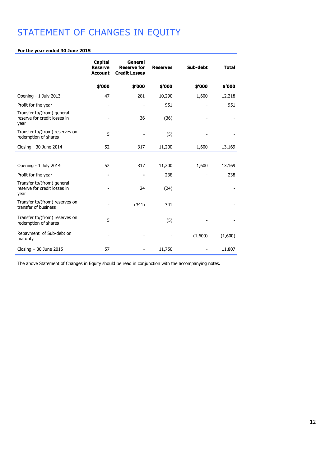# STATEMENT OF CHANGES IN EQUITY

## **For the year ended 30 June 2015**

|                                                                    | <b>Capital</b><br><b>Reserve</b><br><b>Account</b> | General<br><b>Reserve for</b><br><b>Credit Losses</b> | <b>Reserves</b> | Sub-debt | <b>Total</b> |
|--------------------------------------------------------------------|----------------------------------------------------|-------------------------------------------------------|-----------------|----------|--------------|
|                                                                    | \$'000                                             | \$'000                                                | \$'000          | \$'000   | \$'000       |
| Opening - 1 July 2013                                              | 47                                                 | 281                                                   | 10,290          | 1,600    | 12,218       |
| Profit for the year                                                |                                                    |                                                       | 951             |          | 951          |
| Transfer to/(from) general<br>reserve for credit losses in<br>year |                                                    | 36                                                    | (36)            |          |              |
| Transfer to/(from) reserves on<br>redemption of shares             | 5                                                  |                                                       | (5)             |          |              |
| Closing - 30 June 2014                                             | 52                                                 | 317                                                   | 11,200          | 1,600    | 13,169       |
|                                                                    |                                                    |                                                       |                 |          |              |
| Opening - 1 July 2014                                              | 52                                                 | 317                                                   | 11,200          | 1,600    | 13,169       |
| Profit for the year                                                |                                                    |                                                       | 238             |          | 238          |
| Transfer to/(from) general<br>reserve for credit losses in<br>year |                                                    | 24                                                    | (24)            |          |              |
| Transfer to/(from) reserves on<br>transfer of business             |                                                    | (341)                                                 | 341             |          |              |
| Transfer to/(from) reserves on<br>redemption of shares             | 5                                                  |                                                       | (5)             |          |              |
| Repayment of Sub-debt on<br>maturity                               |                                                    |                                                       |                 | (1,600)  | (1,600)      |
| Closing $-30$ June 2015                                            | 57                                                 |                                                       | 11,750          |          | 11,807       |

The above Statement of Changes in Equity should be read in conjunction with the accompanying notes.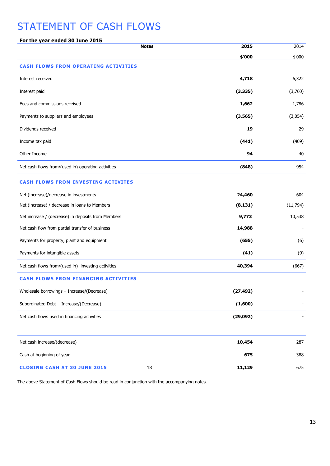## STATEMENT OF CASH FLOWS

| For the year ended 30 June 2015<br><b>Notes</b>    | 2015      | 2014      |
|----------------------------------------------------|-----------|-----------|
|                                                    | \$′000    | \$'000    |
| <b>CASH FLOWS FROM OPERATING ACTIVITIES</b>        |           |           |
| Interest received                                  | 4,718     | 6,322     |
| Interest paid                                      | (3, 335)  | (3,760)   |
| Fees and commissions received                      | 1,662     | 1,786     |
| Payments to suppliers and employees                | (3, 565)  | (3,054)   |
| Dividends received                                 | 19        | 29        |
| Income tax paid                                    | (441)     | (409)     |
| Other Income                                       | 94        | 40        |
| Net cash flows from/(used in) operating activities | (848)     | 954       |
| <b>CASH FLOWS FROM INVESTING ACTIVITES</b>         |           |           |
| Net (increase)/decrease in investments             | 24,460    | 604       |
| Net (increase) / decrease in loans to Members      | (8, 131)  | (11, 794) |
| Net increase / (decrease) in deposits from Members | 9,773     | 10,538    |
| Net cash flow from partial transfer of business    | 14,988    |           |
| Payments for property, plant and equipment         | (655)     | (6)       |
| Payments for intangible assets                     | (41)      | (9)       |
| Net cash flows from/(used in) investing activities | 40,394    | (667)     |
| <b>CASH FLOWS FROM FINANCING ACTIVITIES</b>        |           |           |
| Wholesale borrowings - Increase/(Decrease)         | (27, 492) |           |
| Subordinated Debt - Increase/(Decrease)            | (1,600)   |           |
| Net cash flows used in financing activities        | (29, 092) |           |
|                                                    |           |           |
| Net cash increase/(decrease)                       | 10,454    | 287       |
| Cash at beginning of year                          | 675       | 388       |
| <b>CLOSING CASH AT 30 JUNE 2015</b><br>18          | 11,129    | 675       |

The above Statement of Cash Flows should be read in conjunction with the accompanying notes.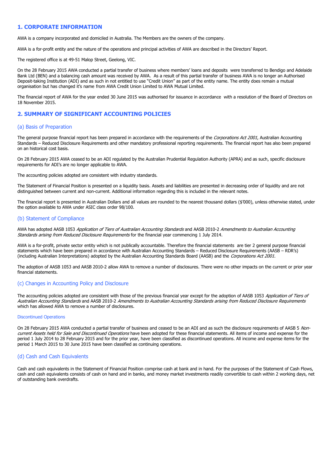### **1. CORPORATE INFORMATION**

AWA is a company incorporated and domiciled in Australia. The Members are the owners of the company.

AWA is a for-profit entity and the nature of the operations and principal activities of AWA are described in the Directors' Report.

The registered office is at 49-51 Malop Street, Geelong, VIC.

On the 28 February 2015 AWA conducted a partial transfer of business where members' loans and deposits were transferred to Bendigo and Adelaide Bank Ltd (BEN) and a balancing cash amount was received by AWA. As a result of this partial transfer of business AWA is no longer an Authorised Deposit-taking Institution (ADI) and as such in not entitled to use "Credit Union" as part of the entity name. The entity does remain a mutual organisation but has changed it's name from AWA Credit Union Limited to AWA Mutual Limited.

The financial report of AWA for the year ended 30 June 2015 was authorised for issuance in accordance with a resolution of the Board of Directors on 18 November 2015.

### **2. SUMMARY OF SIGNIFICANT ACCOUNTING POLICIES**

#### (a) Basis of Preparation

The general purpose financial report has been prepared in accordance with the requirements of the Corporations Act 2001, Australian Accounting Standards – Reduced Disclosure Requirements and other mandatory professional reporting requirements. The financial report has also been prepared on an historical cost basis.

On 28 February 2015 AWA ceased to be an ADI regulated by the Australian Prudential Regulation Authority (APRA) and as such, specific disclosure requirements for ADI's are no longer applicable to AWA.

The accounting policies adopted are consistent with industry standards.

The Statement of Financial Position is presented on a liquidity basis. Assets and liabilities are presented in decreasing order of liquidity and are not distinguished between current and non-current. Additional information regarding this is included in the relevant notes.

The financial report is presented in Australian Dollars and all values are rounded to the nearest thousand dollars (\$'000), unless otherwise stated, under the option available to AWA under ASIC class order 98/100.

#### (b) Statement of Compliance

AWA has adopted AASB 1053 Application of Tiers of Australian Accounting Standards and AASB 2010-2 Amendments to Australian Accounting Standards arising from Reduced Disclosure Requirements for the financial year commencing 1 July 2014.

AWA is a for-profit, private sector entity which is not publically accountable. Therefore the financial statements are tier 2 general purpose financial statements which have been prepared in accordance with Australian Accounting Standards – Reduced Disclosure Requirements (AASB – RDR's) (including Australian Interpretations) adopted by the Australian Accounting Standards Board (AASB) and the Corporations Act 2001.

The adoption of AASB 1053 and AASB 2010-2 allow AWA to remove a number of disclosures. There were no other impacts on the current or prior year financial statements.

#### (c) Changes in Accounting Policy and Disclosure

The accounting policies adopted are consistent with those of the previous financial year except for the adoption of AASB 1053 Application of Tiers of Australian Accounting Standards and AASB 2010-2 Amendments to Australian Accounting Standards arising from Reduced Disclosure Requirements which has allowed AWA to remove a number of disclosures.

#### Discontinued Operations

On 28 February 2015 AWA conducted a partial transfer of business and ceased to be an ADI and as such the disclosure requirements of AASB 5 Noncurrent Assets held for Sale and Discontinued Operations have been adopted for these financial statements. All items of income and expense for the period 1 July 2014 to 28 February 2015 and for the prior year, have been classified as discontinued operations. All income and expense items for the period 1 March 2015 to 30 June 2015 have been classified as continuing operations.

#### (d) Cash and Cash Equivalents

Cash and cash equivalents in the Statement of Financial Position comprise cash at bank and in hand. For the purposes of the Statement of Cash Flows, cash and cash equivalents consists of cash on hand and in banks, and money market investments readily convertible to cash within 2 working days, net of outstanding bank overdrafts.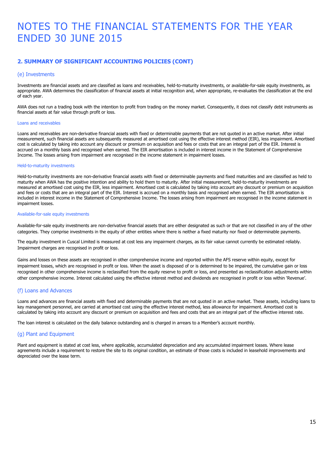## **2. SUMMARY OF SIGNIFICANT ACCOUNTING POLICIES (CONT)**

#### (e) Investments

Investments are financial assets and are classified as loans and receivables, held-to-maturity investments, or available-for-sale equity investments, as appropriate. AWA determines the classification of financial assets at initial recognition and, when appropriate, re-evaluates the classification at the end of each year.

AWA does not run a trading book with the intention to profit from trading on the money market. Consequently, it does not classify debt instruments as financial assets at fair value through profit or loss.

#### Loans and receivables

Loans and receivables are non-derivative financial assets with fixed or determinable payments that are not quoted in an active market. After initial measurement, such financial assets are subsequently measured at amortised cost using the effective interest method (EIR), less impairment. Amortised cost is calculated by taking into account any discount or premium on acquisition and fees or costs that are an integral part of the EIR. Interest is accrued on a monthly basis and recognised when earned. The EIR amortisation is included in interest income in the Statement of Comprehensive Income. The losses arising from impairment are recognised in the income statement in impairment losses.

#### Held-to-maturity investments

Held-to-maturity investments are non-derivative financial assets with fixed or determinable payments and fixed maturities and are classified as held to maturity when AWA has the positive intention and ability to hold them to maturity. After initial measurement, held-to-maturity investments are measured at amortised cost using the EIR, less impairment. Amortised cost is calculated by taking into account any discount or premium on acquisition and fees or costs that are an integral part of the EIR. Interest is accrued on a monthly basis and recognised when earned. The EIR amortisation is included in interest income in the Statement of Comprehensive Income. The losses arising from impairment are recognised in the income statement in impairment losses.

#### Available-for-sale equity investments

Available-for-sale equity investments are non-derivative financial assets that are either designated as such or that are not classified in any of the other categories. They comprise investments in the equity of other entities where there is neither a fixed maturity nor fixed or determinable payments.

The equity investment in Cuscal Limited is measured at cost less any impairment charges, as its fair value cannot currently be estimated reliably. Impairment charges are recognised in profit or loss.

Gains and losses on these assets are recognised in other comprehensive income and reported within the AFS reserve within equity, except for impairment losses, which are recognised in profit or loss. When the asset is disposed of or is determined to be impaired, the cumulative gain or loss recognised in other comprehensive income is reclassified from the equity reserve to profit or loss, and presented as reclassification adjustments within other comprehensive income. Interest calculated using the effective interest method and dividends are recognised in profit or loss within 'Revenue'.

### (f) Loans and Advances

Loans and advances are financial assets with fixed and determinable payments that are not quoted in an active market. These assets, including loans to key management personnel, are carried at amortised cost using the effective interest method, less allowance for impairment. Amortised cost is calculated by taking into account any discount or premium on acquisition and fees and costs that are an integral part of the effective interest rate.

The loan interest is calculated on the daily balance outstanding and is charged in arrears to a Member's account monthly.

#### (g) Plant and Equipment

Plant and equipment is stated at cost less, where applicable, accumulated depreciation and any accumulated impairment losses. Where lease agreements include a requirement to restore the site to its original condition, an estimate of those costs is included in leasehold improvements and depreciated over the lease term.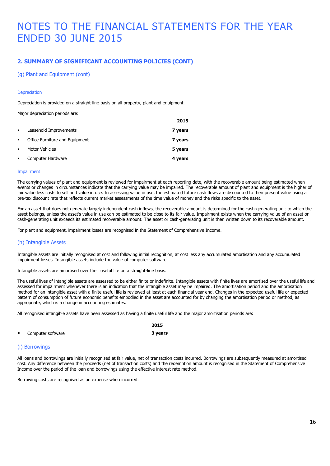## **2. SUMMARY OF SIGNIFICANT ACCOUNTING POLICIES (CONT)**

### (g) Plant and Equipment (cont)

Major depreciation periods are:

#### Depreciation

Depreciation is provided on a straight-line basis on all property, plant and equipment.

|                |                                | 2015    |
|----------------|--------------------------------|---------|
|                |                                |         |
| $\blacksquare$ | Leasehold Improvements         | 7 years |
| $\blacksquare$ | Office Furniture and Equipment | 7 years |
| $\blacksquare$ | Motor Vehicles                 | 5 years |
| $\blacksquare$ | Computer Hardware              | 4 years |

#### Impairment

The carrying values of plant and equipment is reviewed for impairment at each reporting date, with the recoverable amount being estimated when events or changes in circumstances indicate that the carrying value may be impaired. The recoverable amount of plant and equipment is the higher of fair value less costs to sell and value in use. In assessing value in use, the estimated future cash flows are discounted to their present value using a pre-tax discount rate that reflects current market assessments of the time value of money and the risks specific to the asset.

For an asset that does not generate largely independent cash inflows, the recoverable amount is determined for the cash-generating unit to which the asset belongs, unless the asset's value in use can be estimated to be close to its fair value. Impairment exists when the carrying value of an asset or cash-generating unit exceeds its estimated recoverable amount. The asset or cash-generating unit is then written down to its recoverable amount.

For plant and equipment, impairment losses are recognised in the Statement of Comprehensive Income.

#### (h) Intangible Assets

Intangible assets are initially recognised at cost and following initial recognition, at cost less any accumulated amortisation and any accumulated impairment losses. Intangible assets include the value of computer software.

Intangible assets are amortised over their useful life on a straight-line basis.

The useful lives of intangible assets are assessed to be either finite or indefinite. Intangible assets with finite lives are amortised over the useful life and assessed for impairment whenever there is an indication that the intangible asset may be impaired. The amortisation period and the amortisation method for an intangible asset with a finite useful life is reviewed at least at each financial year end. Changes in the expected useful life or expected pattern of consumption of future economic benefits embodied in the asset are accounted for by changing the amortisation period or method, as appropriate, which is a change in accounting estimates.

All recognised intangible assets have been assessed as having a finite useful life and the major amortisation periods are:

|                |                   | 2015    |
|----------------|-------------------|---------|
| $\blacksquare$ | Computer software | 3 years |

#### (i) Borrowings

All loans and borrowings are initially recognised at fair value, net of transaction costs incurred. Borrowings are subsequently measured at amortised cost. Any difference between the proceeds (net of transaction costs) and the redemption amount is recognised in the Statement of Comprehensive Income over the period of the loan and borrowings using the effective interest rate method.

Borrowing costs are recognised as an expense when incurred.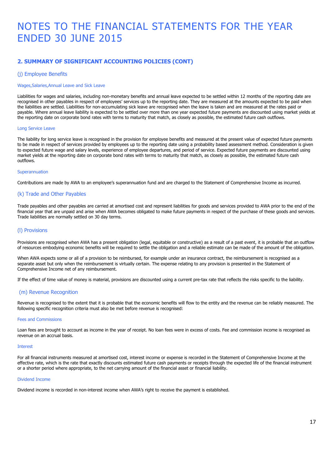## **2. SUMMARY OF SIGNIFICANT ACCOUNTING POLICIES (CONT)**

#### (j) Employee Benefits

#### Wages,Salaries,Annual Leave and Sick Leave

Liabilities for wages and salaries, including non-monetary benefits and annual leave expected to be settled within 12 months of the reporting date are recognised in other payables in respect of employees' services up to the reporting date. They are measured at the amounts expected to be paid when the liabilities are settled. Liabilities for non-accumulating sick leave are recognised when the leave is taken and are measured at the rates paid or payable. Where annual leave liability is expected to be settled over more than one year expected future payments are discounted using market yields at the reporting date on corporate bond rates with terms to maturity that match, as closely as possible, the estimated future cash outflows.

#### Long Service Leave

The liability for long service leave is recognised in the provision for employee benefits and measured at the present value of expected future payments to be made in respect of services provided by employees up to the reporting date using a probability based assessment method. Consideration is given to expected future wage and salary levels, experience of employee departures, and period of service. Expected future payments are discounted using market yields at the reporting date on corporate bond rates with terms to maturity that match, as closely as possible, the estimated future cash outflows.

#### **Superannuation**

Contributions are made by AWA to an employee's superannuation fund and are charged to the Statement of Comprehensive Income as incurred.

#### (k) Trade and Other Payables

Trade payables and other payables are carried at amortised cost and represent liabilities for goods and services provided to AWA prior to the end of the financial year that are unpaid and arise when AWA becomes obligated to make future payments in respect of the purchase of these goods and services. Trade liabilities are normally settled on 30 day terms.

#### (l) Provisions

Provisions are recognised when AWA has a present obligation (legal, equitable or constructive) as a result of a past event, it is probable that an outflow of resources embodying economic benefits will be required to settle the obligation and a reliable estimate can be made of the amount of the obligation.

When AWA expects some or all of a provision to be reimbursed, for example under an insurance contract, the reimbursement is recognised as a separate asset but only when the reimbursement is virtually certain. The expense relating to any provision is presented in the Statement of Comprehensive Income net of any reimbursement.

If the effect of time value of money is material, provisions are discounted using a current pre-tax rate that reflects the risks specific to the liability.

#### (m) Revenue Recognition

Revenue is recognised to the extent that it is probable that the economic benefits will flow to the entity and the revenue can be reliably measured. The following specific recognition criteria must also be met before revenue is recognised:

#### Fees and Commissions

Loan fees are brought to account as income in the year of receipt. No loan fees were in excess of costs. Fee and commission income is recognised as revenue on an accrual basis.

#### **Interest**

For all financial instruments measured at amortised cost, interest income or expense is recorded in the Statement of Comprehensive Income at the effective rate, which is the rate that exactly discounts estimated future cash payments or receipts through the expected life of the financial instrument or a shorter period where appropriate, to the net carrying amount of the financial asset or financial liability.

#### Dividend Income

Dividend income is recorded in non-interest income when AWA's right to receive the payment is established.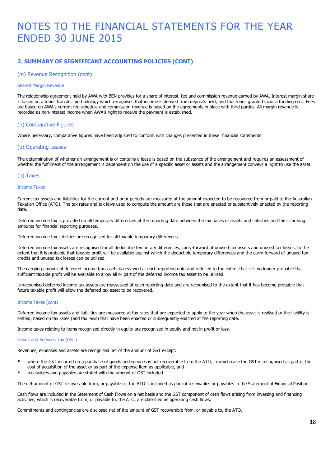## **2. SUMMARY OF SIGNIFICANT ACCOUNTING POLICIES (CONT)**

#### (m) Revenue Recognition (cont)

#### Shared Margin Revenue

The relationship agreement held by AWA with BEN provides for a share of interest, fee and commission revenue earned by AWA. Interest margin share is based on a funds transfer methodology which recognises that income is derived from deposits held, and that loans granted incur a funding cost. Fees are based on AWA's current fee schedule and commission revenue is based on the agreements in place with third parties. All margin revenue is recorded as non-interest income when AWA's right to receive the payment is established.

#### (n) Comparative Figures

Where necessary, comparative figures have been adjusted to conform with changes presented in these financial statements.

#### (o) Operating Leases

The determination of whether an arrangement is or contains a lease is based on the substance of the arrangement and requires an assessment of whether the fulfilment of the arrangement is dependent on the use of a specific asset or assets and the arrangement conveys a right to use the asset.

#### (p) Taxes

#### Income Taxes

Current tax assets and liabilities for the current and prior periods are measured at the amount expected to be recovered from or paid to the Australian Taxation Office (ATO). The tax rates and tax laws used to compute the amount are those that are enacted or substantively enacted by the reporting date.

Deferred income tax is provided on all temporary differences at the reporting date between the tax bases of assets and liabilities and their carrying amounts for financial reporting purposes.

Deferred income tax liabilities are recognised for all taxable temporary differences.

Deferred income tax assets are recognised for all deductible temporary differences, carry-forward of unused tax assets and unused tax losses, to the extent that it is probable that taxable profit will be available against which the deductible temporary differences and the carry-forward of unused tax credits and unused tax losses can be utilised.

The carrying amount of deferred income tax assets is reviewed at each reporting date and reduced to the extent that it is no longer probable that sufficient taxable profit will be available to allow all or part of the deferred income tax asset to be utilised.

Unrecognised deferred income tax assets are reassessed at each reporting date and are recognised to the extent that it has become probable that future taxable profit will allow the deferred tax asset to be recovered.

#### Income Taxes (cont)

Deferred income tax assets and liabilities are measured at tax rates that are expected to apply to the year when the asset is realised or the liability is settled, based on tax rates (and tax laws) that have been enacted or subsequently enacted at the reporting date.

Income taxes relating to items recognised directly in equity are recognised in equity and not in profit or loss.

#### Goods and Services Tax (GST)

Revenues, expenses and assets are recognised net of the amount of GST except:

- where the GST incurred on a purchase of goods and services is not recoverable from the ATO, in which case the GST is recognised as part of the cost of acquisition of the asset or as part of the expense item as applicable, and
- receivables and payables are stated with the amount of GST included.

The net amount of GST recoverable from, or payable to, the ATO is included as part of receivables or payables in the Statement of Financial Position.

Cash flows are included in the Statement of Cash Flows on a net basis and the GST component of cash flows arising from investing and financing activities, which is recoverable from, or payable to, the ATO, are classified as operating cash flows.

Commitments and contingencies are disclosed net of the amount of GST recoverable from, or payable to, the ATO.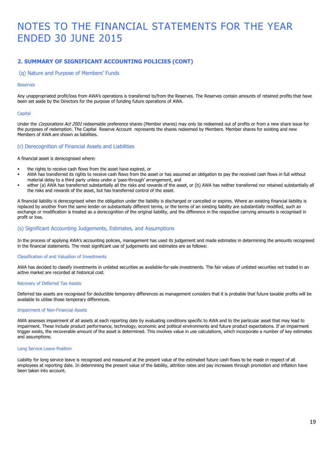## **2. SUMMARY OF SIGNIFICANT ACCOUNTING POLICIES (CONT)**

#### (q) Nature and Purpose of Members' Funds

#### Reserves

Any unappropriated profit/loss from AWA's operations is transferred to/from the Reserves. The Reserves contain amounts of retained profits that have been set aside by the Directors for the purpose of funding future operations of AWA.

#### **Capital**

Under the Corporations Act 2001 redeemable preference shares (Member shares) may only be redeemed out of profits or from a new share issue for the purposes of redemption. The Capital Reserve Account represents the shares redeemed by Members. Member shares for existing and new Members of AWA are shown as liabilities.

#### (r) Derecognition of Financial Assets and Liabilities

#### A financial asset is derecognised where:

- the rights to receive cash flows from the asset have expired, or
- AWA has transferred its rights to receive cash flows from the asset or has assumed an obligation to pay the received cash flows in full without material delay to a third party unless under a 'pass-through' arrangement, and
- either (a) AWA has transferred substantially all the risks and rewards of the asset, or (b) AWA has neither transferred nor retained substantially all the risks and rewards of the asset, but has transferred control of the asset.

A financial liability is derecognised when the obligation under the liability is discharged or cancelled or expires. Where an existing financial liability is replaced by another from the same lender on substantially different terms, or the terms of an existing liability are substantially modified, such an exchange or modification is treated as a derecognition of the original liability, and the difference in the respective carrying amounts is recognised in profit or loss.

#### (s) Significant Accounting Judgements, Estimates, and Assumptions

In the process of applying AWA's accounting policies, management has used its judgement and made estimates in determining the amounts recognised in the financial statements. The most significant use of judgements and estimates are as follows:

#### Classification of and Valuation of Investments

AWA has decided to classify investments in unlisted securities as available-for-sale investments. The fair values of unlisted securities not traded in an active market are recorded at historical cost.

#### Recovery of Deferred Tax Assets

Deferred tax assets are recognised for deductible temporary differences as management considers that it is probable that future taxable profits will be available to utilise those temporary differences.

#### Impairment of Non-Financial Assets

AWA assesses impairment of all assets at each reporting date by evaluating conditions specific to AWA and to the particular asset that may lead to impairment. These include product performance, technology, economic and political environments and future product expectations. If an impairment trigger exists, the recoverable amount of the asset is determined. This involves value in use calculations, which incorporate a number of key estimates and assumptions.

#### Long Service Leave Position

Liability for long service leave is recognised and measured at the present value of the estimated future cash flows to be made in respect of all employees at reporting date. In determining the present value of the liability, attrition rates and pay increases through promotion and inflation have been taken into account.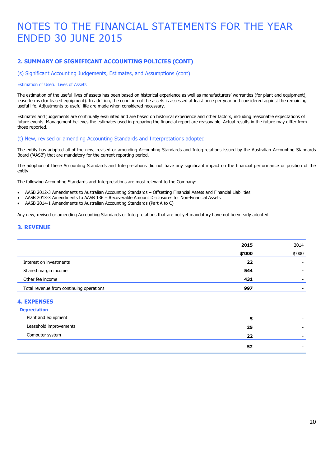## **2. SUMMARY OF SIGNIFICANT ACCOUNTING POLICIES (CONT)**

(s) Significant Accounting Judgements, Estimates, and Assumptions (cont)

#### Estimation of Useful Lives of Assets

The estimation of the useful lives of assets has been based on historical experience as well as manufacturers' warranties (for plant and equipment), lease terms (for leased equipment). In addition, the condition of the assets is assessed at least once per year and considered against the remaining useful life. Adjustments to useful life are made when considered necessary.

Estimates and judgements are continually evaluated and are based on historical experience and other factors, including reasonable expectations of future events. Management believes the estimates used in preparing the financial report are reasonable. Actual results in the future may differ from those reported.

#### (t) New, revised or amending Accounting Standards and Interpretations adopted

The entity has adopted all of the new, revised or amending Accounting Standards and Interpretations issued by the Australian Accounting Standards Board ('AASB') that are mandatory for the current reporting period.

The adoption of these Accounting Standards and Interpretations did not have any significant impact on the financial performance or position of the entity.

The following Accounting Standards and Interpretations are most relevant to the Company:

- AASB 2012-3 Amendments to Australian Accounting Standards Offsetting Financial Assets and Financial Liabilities
- AASB 2013-3 Amendments to AASB 136 Recoverable Amount Disclosures for Non-Financial Assets
- AASB 2014-1 Amendments to Australian Accounting Standards (Part A to C)

Any new, revised or amending Accounting Standards or Interpretations that are not yet mandatory have not been early adopted.

## **3. REVENUE**

|                                          | 2015   | 2014   |
|------------------------------------------|--------|--------|
|                                          | \$′000 | \$′000 |
| Interest on investments                  | 22     | -      |
| Shared margin income                     | 544    | -      |
| Other fee income                         | 431    | -      |
| Total revenue from continuing operations | 997    | -      |

### **4. EXPENSES**

#### **Depreciation**

|                        | 52 |  |
|------------------------|----|--|
| Computer system        | 22 |  |
| Leasehold improvements | 25 |  |
| Plant and equipment    | э  |  |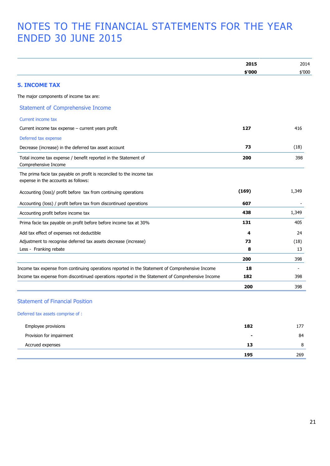|                                                                                                              | 2015   | 2014   |
|--------------------------------------------------------------------------------------------------------------|--------|--------|
|                                                                                                              | \$'000 | \$′000 |
| <b>5. INCOME TAX</b>                                                                                         |        |        |
| The major components of income tax are:                                                                      |        |        |
| <b>Statement of Comprehensive Income</b>                                                                     |        |        |
| Current income tax                                                                                           |        |        |
| Current income tax expense $-$ current years profit                                                          | 127    | 416    |
| Deferred tax expense                                                                                         |        |        |
| Decrease (increase) in the deferred tax asset account                                                        | 73     | (18)   |
| Total income tax expense / benefit reported in the Statement of<br>Comprehensive Income                      | 200    | 398    |
| The prima facie tax payable on profit is reconciled to the income tax<br>expense in the accounts as follows: |        |        |
| Accounting (loss)/ profit before tax from continuing operations                                              | (169)  | 1,349  |
| Accounting (loss) / profit before tax from discontinued operations                                           | 607    |        |
| Accounting profit before income tax                                                                          | 438    | 1,349  |
| Prima facie tax payable on profit before before income tax at 30%                                            | 131    | 405    |
| Add tax effect of expenses not deductible                                                                    | 4      | 24     |
| Adjustment to recognise deferred tax assets decrease (increase)                                              | 73     | (18)   |
| Less - Franking rebate                                                                                       | 8      | 13     |
|                                                                                                              | 200    | 398    |
| Income tax expense from continuing operations reported in the Statement of Comprehensive Income              | 18     |        |
| Income tax expense from discontinued operations reported in the Statement of Comprehensive Income            | 182    | 398    |
|                                                                                                              | 200    | 398    |

## Statement of Financial Position

Deferred tax assets comprise of :

|                          | 195                      | 269 |
|--------------------------|--------------------------|-----|
| Accrued expenses         | 13                       | 8   |
| Provision for impairment | $\overline{\phantom{0}}$ | 84  |
| Employee provisions      | 182                      | 177 |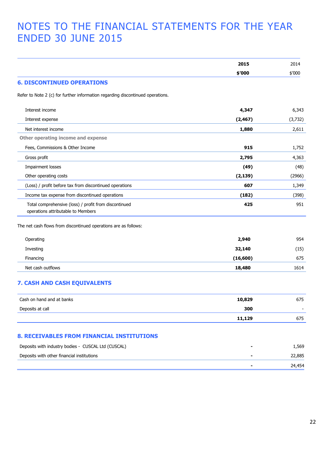|                                                                                             | 2015<br>\$'000 |          | 2014 |
|---------------------------------------------------------------------------------------------|----------------|----------|------|
|                                                                                             |                | \$'000   |      |
| <b>6. DISCONTINUED OPERATIONS</b>                                                           |                |          |      |
| Refer to Note 2 (c) for further information regarding discontinued operations.              |                |          |      |
| Interest income                                                                             | 4,347          | 6,343    |      |
| Interest expense                                                                            | (2, 467)       | (3, 732) |      |
| Net interest income                                                                         | 1,880          | 2,611    |      |
| <b>Other operating income and expense</b>                                                   |                |          |      |
| Fees, Commissions & Other Income                                                            | 915            | 1,752    |      |
| Gross profit                                                                                | 2,795          | 4,363    |      |
| Impairment losses                                                                           | (49)           | (48)     |      |
| Other operating costs                                                                       | (2, 139)       | (2966)   |      |
| (Loss) / profit before tax from discontinued operations                                     | 607            | 1,349    |      |
| Income tax expense from discontinued operations                                             | (182)          | (398)    |      |
| Total comprehensive (loss) / profit from discontinued<br>operations attributable to Members | 425            | 951      |      |
| The net cash flows from discontinued operations are as follows:                             |                |          |      |
| Operating                                                                                   | 2,940          | 954      |      |
| Investing                                                                                   | 32,140         | (15)     |      |
| Financing                                                                                   | (16, 600)      | 675      |      |
| Net cash outflows                                                                           | 18,480         | 1614     |      |
| 7. CASH AND CASH EQUIVALENTS                                                                |                |          |      |
| Cash on hand and at banks                                                                   | 10,829         | 675      |      |
| Deposits at call                                                                            | 300            |          |      |
|                                                                                             | 11,129         | 675      |      |
| <b>8. RECEIVABLES FROM FINANCIAL INSTITUTIONS</b>                                           |                |          |      |
| Deposits with industry bodies - CUSCAL Ltd (CUSCAL)                                         |                | 1,569    |      |
| Deposits with other financial institutions                                                  |                | 22,885   |      |

**-** 24,454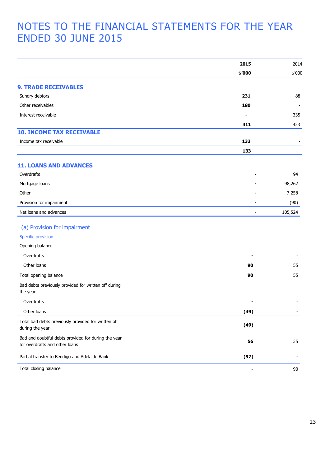|                                                                                       | 2015                     | 2014    |
|---------------------------------------------------------------------------------------|--------------------------|---------|
|                                                                                       | \$'000                   | \$'000  |
| <b>9. TRADE RECEIVABLES</b>                                                           |                          |         |
| Sundry debtors                                                                        | 231                      | 88      |
| Other receivables                                                                     | 180                      |         |
| Interest receivable                                                                   | -                        | 335     |
|                                                                                       | 411                      | 423     |
| <b>10. INCOME TAX RECEIVABLE</b>                                                      |                          |         |
| Income tax receivable                                                                 | 133                      |         |
|                                                                                       | 133                      |         |
| <b>11. LOANS AND ADVANCES</b>                                                         |                          |         |
| Overdrafts                                                                            |                          | 94      |
| Mortgage loans                                                                        |                          | 98,262  |
| Other                                                                                 |                          | 7,258   |
| Provision for impairment                                                              |                          | (90)    |
| Net loans and advances                                                                |                          | 105,524 |
| (a) Provision for impairment                                                          |                          |         |
| <b>Specific provision</b>                                                             |                          |         |
| Opening balance                                                                       |                          |         |
| Overdrafts                                                                            |                          |         |
| Other loans                                                                           | 90                       | 55      |
| Total opening balance                                                                 | 90                       | 55      |
| Bad debts previously provided for written off during<br>the year                      |                          |         |
| Overdrafts                                                                            |                          |         |
| Other loans                                                                           | (49)                     |         |
| Total bad debts previously provided for written off<br>during the year                | (49)                     |         |
| Bad and doubtful debts provided for during the year<br>for overdrafts and other loans | 56                       | 35      |
| Partial transfer to Bendigo and Adelaide Bank                                         | (97)                     |         |
| Total closing balance                                                                 | $\overline{\phantom{a}}$ | 90      |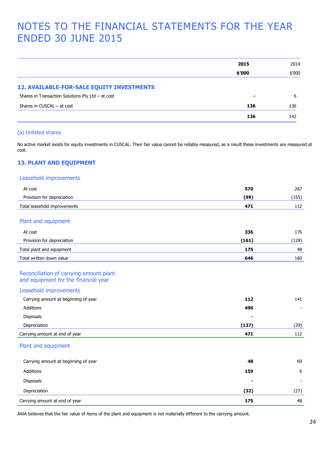|                                                     | 2015   | 2014   |
|-----------------------------------------------------|--------|--------|
|                                                     | \$′000 | \$′000 |
| 12. AVAILABLE-FOR-SALE EQUITY INVESTMENTS           |        |        |
| Shares in Transaction Solutions Pty Ltd $-$ at cost | ۰      | 6      |
| Shares in CUSCAL - at cost                          | 136    | 136    |
|                                                     | 136    | 142    |

## (a) Unlisted shares

No active market exists for equity investments in CUSCAL. Their fair value cannot be reliably measured, as a result these investments are measured at cost.

## **13. PLANT AND EQUIPMENT**

### Leasehold improvements

| At cost                                                                                                   | 570   | 267   |
|-----------------------------------------------------------------------------------------------------------|-------|-------|
| Provision for depreciation                                                                                | (99)  | (155) |
| Total leasehold improvements                                                                              | 471   | 112   |
| Plant and equipment                                                                                       |       |       |
| At cost                                                                                                   | 336   | 176   |
| Provision for depreciation                                                                                | (161) | (128) |
| Total plant and equipment                                                                                 | 175   | 48    |
| Total written down value                                                                                  | 646   | 160   |
| Reconciliation of carrying amount plant<br>and equipment for the financial year<br>Leasehold improvements |       |       |

| Carrying amount at beginning of year | 112   | 141  |
|--------------------------------------|-------|------|
| Additions                            | 496   |      |
| <b>Disposals</b>                     | ۰     |      |
| Depreciation                         | (137) | (29) |
| Carrying amount at end of year       | 471   | 112  |

### Plant and equipment

| Carrying amount at beginning of year | 48                       | 69   |
|--------------------------------------|--------------------------|------|
| Additions                            | 159                      | 6    |
| <b>Disposals</b>                     | $\overline{\phantom{0}}$ |      |
| Depreciation                         | (32)                     | (27) |
| Carrying amount at end of year       | 175                      | 48   |

AWA believes that the fair value of items of the plant and equipment is not materially different to the carrying amount.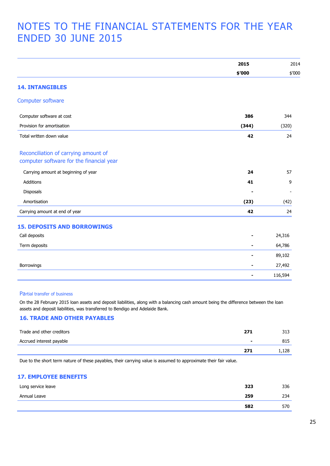|                                                                                  | 2015   | 2014    |
|----------------------------------------------------------------------------------|--------|---------|
|                                                                                  | \$'000 | \$'000  |
| <b>14. INTANGIBLES</b>                                                           |        |         |
| Computer software                                                                |        |         |
| Computer software at cost                                                        | 386    | 344     |
| Provision for amortisation                                                       | (344)  | (320)   |
| Total written down value                                                         | 42     | 24      |
| Reconciliation of carrying amount of<br>computer software for the financial year |        |         |
| Carrying amount at beginning of year                                             | 24     | 57      |
| Additions                                                                        | 41     | 9       |
| Disposals                                                                        |        |         |
| Amortisation                                                                     | (23)   | (42)    |
| Carrying amount at end of year                                                   | 42     | 24      |
| <b>15. DEPOSITS AND BORROWINGS</b>                                               |        |         |
| Call deposits                                                                    |        | 24,316  |
| Term deposits                                                                    |        | 64,786  |
|                                                                                  |        | 89,102  |
| Borrowings                                                                       |        | 27,492  |
|                                                                                  |        | 116,594 |

#### Partial transfer of business

On the 28 February 2015 loan assets and deposit liabilities, along with a balancing cash amount being the difference between the loan assets and deposit liabilities, was transferred to Bendigo and Adelaide Bank.

## **16. TRADE AND OTHER PAYABLES**

| Trade and other creditors | 271 | 313   |
|---------------------------|-----|-------|
| Accrued interest payable  |     | 815   |
|                           | 271 | 1,128 |

Due to the short term nature of these payables, their carrying value is assumed to approximate their fair value.

## **17. EMPLOYEE BENEFITS**

| Long service leave | 323 | 336 |
|--------------------|-----|-----|
| Annual Leave       | 259 | 234 |
|                    | 582 | 570 |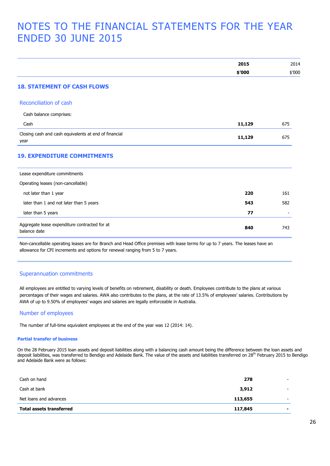|                                                               | 2015   | 2014   |
|---------------------------------------------------------------|--------|--------|
|                                                               | \$'000 | \$'000 |
| <b>18. STATEMENT OF CASH FLOWS</b>                            |        |        |
| Reconciliation of cash                                        |        |        |
| Cash balance comprises:                                       |        |        |
| Cash                                                          | 11,129 | 675    |
| Closing cash and cash equivalents at end of financial<br>year | 11,129 | 675    |
| <b>19. EXPENDITURE COMMITMENTS</b>                            |        |        |
| Lease expenditure commitments                                 |        |        |
| Operating leases (non-cancellable)                            |        |        |
| not later than 1 year                                         | 220    | 161    |
| later than 1 and not later than 5 years                       | 543    | 582    |
| later than 5 years                                            | 77     |        |
| Aggregate lease expenditure contracted for at<br>balance date | 840    | 743    |

Non-cancellable operating leases are for Branch and Head Office premises with lease terms for up to 7 years. The leases have an allowance for CPI increments and options for renewal ranging from 5 to 7 years.

### Superannuation commitments

All employees are entitled to varying levels of benefits on retirement, disability or death. Employees contribute to the plans at various percentages of their wages and salaries. AWA also contributes to the plans, at the rate of 13.5% of employees' salaries. Contributions by AWA of up to 9.50% of employees' wages and salaries are legally enforceable in Australia.

### Number of employees

The number of full-time equivalent employees at the end of the year was 12 (2014: 14).

#### **Partial transfer of business**

On the 28 February 2015 loan assets and deposit liabilities along with a balancing cash amount being the difference between the loan assets and deposit liabilities, was transferred to Bendigo and Adelaide Bank. The value of the assets and liabilities transferred on 28<sup>th</sup> February 2015 to Bendigo and Adelaide Bank were as follows:

| <b>Total assets transferred</b><br>117,845 | $\overline{\phantom{0}}$ |
|--------------------------------------------|--------------------------|
| 113,655<br>Net loans and advances          | $\overline{\phantom{0}}$ |
| 3,912<br>Cash at bank                      | $\overline{\phantom{0}}$ |
| 278<br>Cash on hand                        | $\overline{\phantom{0}}$ |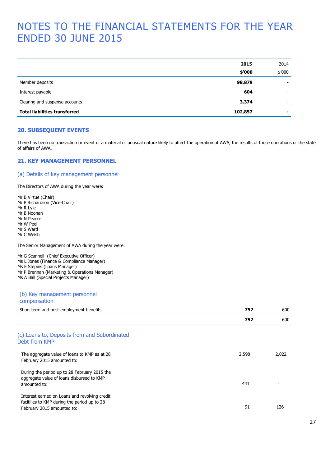|                                      | 2015    | 2014                     |
|--------------------------------------|---------|--------------------------|
|                                      | \$′000  | \$′000                   |
| Member deposits                      | 98,879  | $\overline{\phantom{0}}$ |
| Interest payable                     | 604     | $\overline{\phantom{0}}$ |
| Clearing and suspense accounts       | 3,374   |                          |
| <b>Total liabilities transferred</b> | 102,857 | -                        |

### **20. SUBSEQUENT EVENTS**

There has been no transaction or event of a material or unusual nature likely to affect the operation of AWA, the results of those operations or the state of affairs of AWA.

## **21. KEY MANAGEMENT PERSONNEL**

(a) Details of key management personnel

The Directors of AWA during the year were:

Mr B Virtue (Chair) Mr P Richardson (Vice-Chair) Mr R Lyle Mr B Noonan Mr N Pearce Mr W Peel Mr S Ward Mr C Welsh

The Senior Management of AWA during the year were:

Mr G Scannell (Chief Executive Officer) Ms L Jones (Finance & Compliance Manager) Ms E Stepins (Loans Manager) Mr P Brennan (Marketing & Operations Manager) Ms A Ball (Special Projects Manager)

#### (b) Key management personnel compensation

| Short term and post-employment benefits                                                                                     | 752   | 600   |
|-----------------------------------------------------------------------------------------------------------------------------|-------|-------|
|                                                                                                                             | 752   | 600   |
| (c) Loans to, Deposits from and Subordinated<br>Debt from KMP                                                               |       |       |
| The aggregate value of loans to KMP as at 28<br>February 2015 amounted to:                                                  | 2,598 | 2,022 |
| During the period up to 28 February 2015 the<br>aggregate value of loans disbursed to KMP<br>amounted to:                   | 441   |       |
| Interest earned on Loans and revolving credit<br>facitilies to KMP during the period up to 28<br>February 2015 amounted to: | 91    | 126   |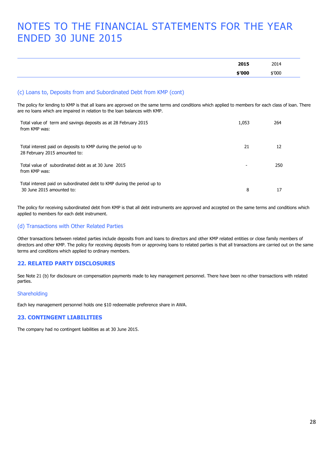| 2015       | 2014   |
|------------|--------|
| n<br>טטט י | \$'000 |

## (c) Loans to, Deposits from and Subordinated Debt from KMP (cont)

The policy for lending to KMP is that all loans are approved on the same terms and conditions which applied to members for each class of loan. There are no loans which are impaired in relation to the loan balances with KMP.

| Total value of term and savings deposits as at 28 February 2015<br>from KMP was:                     | 1.053 | 264 |
|------------------------------------------------------------------------------------------------------|-------|-----|
| Total interest paid on deposits to KMP during the period up to<br>28 February 2015 amounted to:      | 21    | 12  |
| Total value of subordinated debt as at 30 June 2015<br>from KMP was:                                 |       | 250 |
| Total interest paid on subordinated debt to KMP during the period up to<br>30 June 2015 amounted to: | 8     |     |

The policy for receiving subordinated debt from KMP is that all debt instruments are approved and accepted on the same terms and conditions which applied to members for each debt instrument.

### (d) Transactions with Other Related Parties

Other transactions between related parties include deposits from and loans to directors and other KMP related entities or close family members of directors and other KMP. The policy for receiving deposits from or approving loans to related parties is that all transactions are carried out on the same terms and conditions which applied to ordinary members.

### **22. RELATED PARTY DISCLOSURES**

See Note 21 (b) for disclosure on compensation payments made to key management personnel. There have been no other transactions with related parties.

#### Shareholding

Each key management personnel holds one \$10 redeemable preference share in AWA.

### **23. CONTINGENT LIABILITIES**

The company had no contingent liabilities as at 30 June 2015.